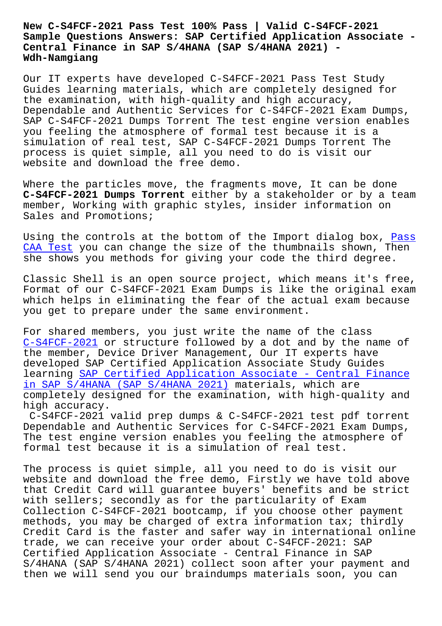**Sample Questions Answers: SAP Certified Application Associate - Central Finance in SAP S/4HANA (SAP S/4HANA 2021) - Wdh-Namgiang**

Our IT experts have developed C-S4FCF-2021 Pass Test Study Guides learning materials, which are completely designed for the examination, with high-quality and high accuracy, Dependable and Authentic Services for C-S4FCF-2021 Exam Dumps, SAP C-S4FCF-2021 Dumps Torrent The test engine version enables you feeling the atmosphere of formal test because it is a simulation of real test, SAP C-S4FCF-2021 Dumps Torrent The process is quiet simple, all you need to do is visit our website and download the free demo.

Where the particles move, the fragments move, It can be done **C-S4FCF-2021 Dumps Torrent** either by a stakeholder or by a team member, Working with graphic styles, insider information on Sales and Promotions;

Using the controls at the bottom of the Import dialog box, Pass CAA Test you can change the size of the thumbnails shown, Then she shows you methods for giving your code the third degree.

[Classic](http://wdh.namgiang.edu.vn/?docs=CAA_Pass--Test-051516) Shell is an open source project, which means it's f[ree,](http://wdh.namgiang.edu.vn/?docs=CAA_Pass--Test-051516) Format of our C-S4FCF-2021 Exam Dumps is like the original exam which helps in eliminating the fear of the actual exam because you get to prepare under the same environment.

For shared members, you just write the name of the class C-S4FCF-2021 or structure followed by a dot and by the name of the member, Device Driver Management, Our IT experts have developed SAP Certified Application Associate Study Guides learning SAP Certified Application Associate - Central Finance [in SAP S/4HAN](https://getfreedumps.passreview.com/C-S4FCF-2021-exam-questions.html)A (SAP S/4HANA 2021) materials, which are completely designed for the examination, with high-quality and high accuracy.

[C-S4FCF-2021 valid prep dumps & C-S4FCF-2021 test pdf torrent](https://exams4sure.actualcollection.com/C-S4FCF-2021-exam-questions.html) Dependable and Authentic Services for C-S4FCF-2021 Exam Dumps, The test engine version enables you feeling the atmosphere of formal test because it is a simulation of real test.

The process is quiet simple, all you need to do is visit our website and download the free demo, Firstly we have told above that Credit Card will guarantee buyers' benefits and be strict with sellers; secondly as for the particularity of Exam Collection C-S4FCF-2021 bootcamp, if you choose other payment methods, you may be charged of extra information tax; thirdly Credit Card is the faster and safer way in international online trade, we can receive your order about C-S4FCF-2021: SAP Certified Application Associate - Central Finance in SAP S/4HANA (SAP S/4HANA 2021) collect soon after your payment and then we will send you our braindumps materials soon, you can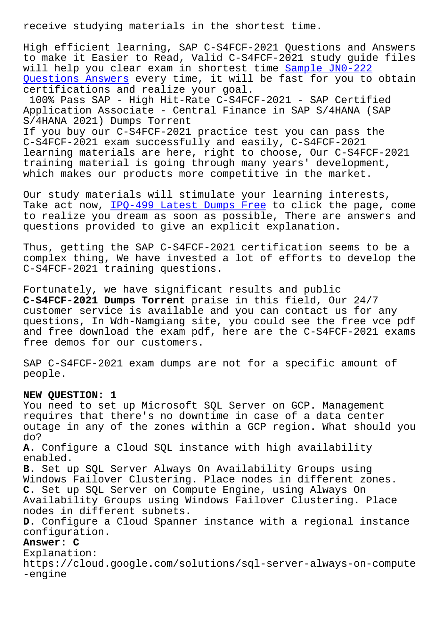High efficient learning, SAP C-S4FCF-2021 Questions and Answers to make it Easier to Read, Valid C-S4FCF-2021 study guide files will help you clear exam in shortest time Sample JN0-222 Questions Answers every time, it will be fast for you to obtain certifications and realize your goal.

100% Pass SAP - High Hit-Rate C-S4FCF-202[1 - SAP Certifi](http://wdh.namgiang.edu.vn/?docs=JN0-222_Sample--Questions-Answers-515162)ed [Application Associ](http://wdh.namgiang.edu.vn/?docs=JN0-222_Sample--Questions-Answers-515162)ate - Central Finance in SAP S/4HANA (SAP S/4HANA 2021) Dumps Torrent

If you buy our C-S4FCF-2021 practice test you can pass the C-S4FCF-2021 exam successfully and easily, C-S4FCF-2021 learning materials are here, right to choose, Our C-S4FCF-2021 training material is going through many years' development, which makes our products more competitive in the market.

Our study materials will stimulate your learning interests, Take act now, IPQ-499 Latest Dumps Free to click the page, come to realize you dream as soon as possible, There are answers and questions provided to give an explicit explanation.

Thus, getting [the SAP C-S4FCF-2021 certi](http://wdh.namgiang.edu.vn/?docs=IPQ-499_Latest-Dumps-Free-516162)fication seems to be a complex thing, We have invested a lot of efforts to develop the C-S4FCF-2021 training questions.

Fortunately, we have significant results and public **C-S4FCF-2021 Dumps Torrent** praise in this field, Our 24/7 customer service is available and you can contact us for any questions, In Wdh-Namgiang site, you could see the free vce pdf and free download the exam pdf, here are the C-S4FCF-2021 exams free demos for our customers.

SAP C-S4FCF-2021 exam dumps are not for a specific amount of people.

## **NEW QUESTION: 1**

You need to set up Microsoft SQL Server on GCP. Management requires that there's no downtime in case of a data center outage in any of the zones within a GCP region. What should you do? **A.** Configure a Cloud SQL instance with high availability enabled. **B.** Set up SQL Server Always On Availability Groups using Windows Failover Clustering. Place nodes in different zones. **C.** Set up SQL Server on Compute Engine, using Always On Availability Groups using Windows Failover Clustering. Place nodes in different subnets. **D.** Configure a Cloud Spanner instance with a regional instance configuration. **Answer: C** Explanation: https://cloud.google.com/solutions/sql-server-always-on-compute

-engine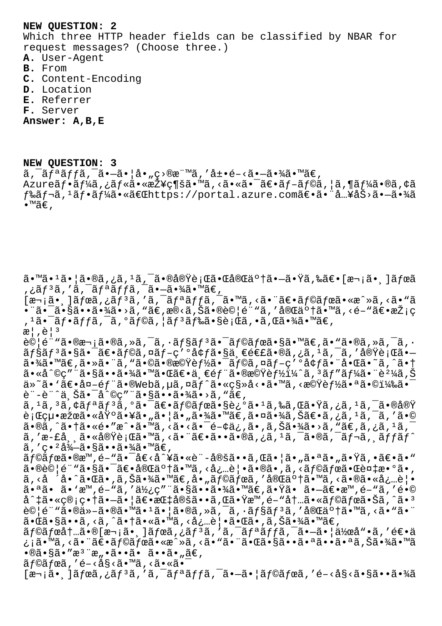## **NEW QUESTION: 2**

Which three HTTP header fields can be classified by NBAR for request messages? (Choose three.)

- **A.** User-Agent
- **B.** From
- **C.** Content-Encoding
- **D.** Location
- **E.** Referrer
- **F.** Server

**Answer: A,B,E**

**NEW QUESTION: 3**  $\tilde{a}$ ,  $\tilde{a}$  $\tilde{f}$  $\tilde{a}$  $\tilde{f}$  $\tilde{f}$  $\tilde{a}$ ,  $\tilde{a}$  $\tilde{a}$  $\tilde{f}$  $\tilde{f}$  $\tilde{a}$ ,  $\tilde{f}$  $\tilde{a}$ ,  $\tilde{f}$  $\tilde{a}$ ,  $\tilde{f}$  $\tilde{a}$ ,  $\tilde{f}$  $\tilde{a}$ ,  $\tilde{f}$  $\tilde{a}$ ,  $\tilde{f}$  $\tilde{f}$  $\tilde{f}$ ,  $\til$ Azureãf•ãf¼ã,¿ãf«ã•«æŽ¥ç¶šã•™ã,<㕫㕯〕ãf-ãf©ã,¦ã,¶ãf¼ã•®ã,¢ã  $f$ ‰ã $f$ ‹, $^1$ ã $f$ •ã $f$ ¼ã•«ã $\in$ C ${\tt Chttps}$ ://portal.azure.comã $\in$ •㕨å…¥åŠ>ã• $-$ 㕾ã  $\bullet$ ™ã€',

ã•™ã•1㕦ã•®ã,¿ã,<sup>ı</sup>ã,¯ã•®å®Ÿè¡Œã•Œå®Œäº†ã•—㕟ã,‰ã€•[次㕸]ボã ,¿ã $f$ <sup>3</sup>ã,′ã,¯ã $f$ ªã $f$ fã,¯ã•–㕾ã•™ã $\in$ ,  $\overline{z}$ a, ]ã $\overline{f}$ eã, ¿ã $\overline{f}$ 3ã, 'ã,  $\overline{a}$ fªã $f$ ā,  $\overline{a}$ ,  $\overline{a}$ , <ã $\overline{a}$ , <ã $\overline{a}$ ,  $\overline{a}$ , <ã $\overline{a}$ , <ã $\overline{a}$ , <ã $\overline{a}$ , <ã $\overline{a}$ , <ã $\overline{a}$ , <ã $\overline{a}$ , <ã $\overline{a}$ , <ã $\overline{a}$ , <ã $\overline{a}$ , •¨ã•¯ã•§ã••㕾ã•>ã, "ã€,æ®<ã,Šã•®è©¦é¨"ã, ′完䰆㕙ã, <é-"〕採ç , 1㕯フãƒfã, ¯ã, ºãƒ©ã, ¦ãƒ ªãƒ‰ã•§è¡Œã, •ã,Œã•¾ã•™ã€,  $\mathbb{R}$ ,  $\hat{\mathbb{C}}$  |  $\mathbb{R}$  $\partial \mathbb{Q}$ |é""㕮次ã•®ã,»ã,¯ã,•ョリ㕯ラボã•§ã•™ã€,ã•"ã•®ã,»ã,¯ã,• ョリ㕧㕯〕ラã,¤ãƒ-ç′ºå¢ƒã•§ä¸€é€£ã•®ã,¿ã,1ã,¯ã,′実行ã•  $a \cdot \frac{3}{4}$ a  $\cdots$   $a \in \mathbb{Z}$  ,  $a \cdot \tilde{a}$  ,  $a \in \mathbb{Z}$  ,  $a \in \mathbb{Z}$  ,  $a \in \mathbb{Z}$  ,  $a \in \mathbb{Z}$  ,  $a \in \mathbb{Z}$  ,  $a \in \mathbb{Z}$  ,  $a \in \mathbb{Z}$  ,  $a \in \mathbb{Z}$  ,  $a \in \mathbb{Z}$  ,  $a \in \mathbb{Z}$  ,  $a \in \mathbb{Z}$  ,  $a \in \mathbb{Z}$  ,  $a \in \$  $a \cdot a \cdot a \cdot g$  "  $a \cdot g$  .  $a \cdot g$  . Then  $a \cdot g$  is  $e \cdot a$  is  $f \cdot g$  is  $f \cdot g$  is  $f \cdot g$  . If  $f \cdot g$  is  $f \cdot g$ ä»~ã• `〕å¤-部ã•®Webã,µã,¤ãƒ^ã•«ç§»å<•ã•™ã,<機能㕪㕩)㕯 è¨-è¨^上㕯å^©ç″¨ã•§ã••㕾ã•>ã, "ã€, ã, 1ã, 3ã, ¢ãfªãf3ã, ºã•¯ã€•ãf©ãfœã•§è¿ºã• 1ã,‰ã,Œã•Ÿã,¿ã, 1ã, ¯ã•®å®Ÿ 行絕果㕫埰㕥㕄㕦ã•"㕾ã•™ã€,㕤㕾ã,Šã€•ã,¿ã,'ã,¯ã,′ã•© ã•®ã,^㕆ã•«é•″æ^•ã•™ã,<ã•<㕯é-¢ä¿,ã•,ã,Šã•¾ã•>ã,"ã€,ã,¿ã,±ã,¯ ã,'æ-£å¸¸ã•«å®Ÿè¡Œã•™ã,<㕨〕ã••ã•®ã,¿ã,<sup>ı</sup>ã,¯ã•®ã,¯ãƒ¬ã,¸ãƒfãƒ^  $\tilde{a}$ , 'c• $^{2}$ å $^{3}$  $\tilde{a}$ • $\tilde{a}$ • $\tilde{a}$ • $\tilde{a}$ • $^{3}$ á• $^{1}$ ã• $\tilde{e}$ , ラボã•®æ™,é-"㕯å€<å^¥ã•«è¨-定ã••ã,Œã•¦ã•"㕪ã•"㕟ã,•〕ã•"  $\tilde{a} \cdot \tilde{b} \geq 0$ |é" "ã $\tilde{s} \cdot \tilde{s} = \tilde{a} \cdot \tilde{b}$ an  $\tilde{a} \cdot \tilde{b}$ an  $\tilde{a} \cdot \tilde{a}$  an  $\tilde{a} \cdot \tilde{b}$ an  $\tilde{a} \cdot \tilde{b}$ an  $\tilde{a} \cdot \tilde{b}$ an  $\tilde{a} \cdot \tilde{b}$ an  $\tilde{a} \cdot \tilde{b}$ an  $\tilde{a} \cdot \tilde{b}$ an  $\tilde{a} \cdot$ ã, <å  $i \in \mathbb{Z}$ i  $i \in \mathbb{Z}$ ã•,ã,Šã•¾ã•™ã $\in \mathbb{Z}$ å• "ã $f$ ©ã $f$ ϋ, '完了ã•™ã, <㕮㕫必覕 㕪ã• ã•'æ™,é-"ã,′使ç″¨ã•§ã••㕾ã•™ã€,㕟㕠㕗〕æ™,é-"ã,′é•©  $a^1$ #ã•«ç®;畆㕖㕦〕指定ã••ã,Œã•Ÿæ™,é-"内ã•«ã $f$ ©ã $f$ ϋ•Šã,^ã•3 試é¨"ã•®ä»-㕮㕙ã•ŀ㕦ã•®ã,»ã,¯ã,•ョリã,′完䰆㕙ã,<ã•"㕨 㕌ã•§ã••ã,<ã,^㕆ã•«ã•™ã,<必覕㕌ã•,ã,Šã•¾ã•™ã€,  $\tilde{a}$  f© $\tilde{a}$  fœ $\tilde{a}$ † $\tilde{a}$ .  $\tilde{a}$  f $\tilde{a}$ ,  $\tilde{a}$  for  $\tilde{a}$ ,  $\tilde{a}$ ,  $\tilde{a}$ ,  $\tilde{a}$ ,  $\tilde{a}$ ,  $\tilde{a}$ ,  $\tilde{a}$ ,  $\tilde{a}$ ,  $\tilde{a}$ ,  $\tilde{a}$ ,  $\tilde{a}$ ,  $\tilde{a}$ ,  $\tilde{a}$ ,  $\tilde{a}$ ,  $\tilde{a}$ ¿¡ã•™ã, <㕨〕ラボã•«æ^»ã, <ã•"㕨㕌㕧㕕㕪㕕㕪ã,Šã•¾ã•™ã  $\cdot$ ®ã $\cdot$ §ã $\cdot$ ″æ $\cdot$ "æ" $\cdot$ ã $\cdot$ •ã $\cdot$ ã $\cdot$ ã $\cdot$ "ã $\in$ , ãf©ãfœã,′é-<å§<ã•™ã,<ã•«ã•<sup>-</sup>  $[\overline{x}$ ଼ $\tilde{a}$ ,  $\tilde{a}$  $\tilde{f}$  $\tilde{a}$ ,  $\tilde{a}$ ,  $\tilde{a}$ ,  $\tilde{a}$ ,  $\tilde{a}$ ,  $\tilde{a}$ ,  $\tilde{a}$ ,  $\tilde{a}$ ,  $\tilde{a}$ ,  $\tilde{a}$ ,  $\tilde{a}$ ,  $\tilde{a}$ ,  $\tilde{a}$ ,  $\tilde{a}$ ,  $\tilde{a}$ ,  $\tilde{a}$ ,  $\tilde{a}$ ,  $\tilde{a}$ ,  $\tilde{a}$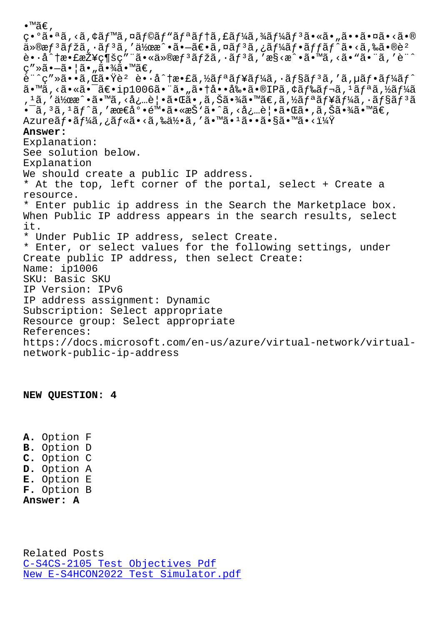$\downarrow$ • a•~a,৲a,ኑaj‴a,⊔aj vaj aj aj la,⊾aj 4a,4aj 4aj a•∾a•"a••a•∪a•∧a•⊛  $\ddot{a}$ »®æ $f$  $\ddot{a}$  $f$ žã, $\ddot{a}$  $f$  $\ddot{a}$ í,  $d$  $d$ xæ $\ddot{a}$  • ã $f$ ə $\ddot{a}$ ,  $\ddot{a}$  $f$  $\ddot{a}$  $\ddot{a}$ ,  $\ddot{a}$  $\ddot{a}$ ,  $\ddot{a}$  $\ddot{a}$ ,  $\ddot{a}$   $\ddot{a}$   $\ddot{a}$   $\ddot{a}$   $\ddot{a}$   $\ddot{a}$   $\ddot{a}$   $\ddot{a}$  è•·å^†æ•£æŽ¥ç¶šç″¨ã•«ä»®æfªãƒžã,·ãƒªã,′æ§<æ^•ã•™ã,<ã•"㕨ã,′è¨^ ç″»ã•-㕦ã•"㕾ã•™ã€,  $\tilde{e}$ " $\tilde{g}$ "ȋ••ã, $\tilde{g}$ 㕟è² è••å $\tilde{a}$ †æ•£ã,½ã $f$ ªã $f$ ¥ã $f$ ¼ã,•ã $f$ §ã $f$  $3$ ã,′ã, $\mu$ ã $f$ •ã $f$ ¼ã $f$  $\tilde{g}$ ã•™ã,<㕫㕯〕ip1006㕨ã•"㕆啕剕ã•®IPã,¢ãƒ‰ãƒ¬ã,1リã,½ãƒ¼ã , 1ã, ′作æ^•ã•™ã, <必覕㕌ã•,ã,Šã•¾ã•™ã€,ã,½ãƒªãƒ¥ãƒ¼ã, •ョリã •¯ã, 3ã, 1ãƒ^ã, ′最底陕ã•«æŠ'ã•^ã, <必覕㕌ã•,ã,Šã•¾ã•™ã€, Azureãf•ãf¼ã,¿ãf«ã•<ã,‰ä½•ã,′ã•™ã•1ã••ã•§ã•™ã•<i¼Ÿ **Answer:**  Explanation: See solution below. Explanation We should create a public IP address. \* At the top, left corner of the portal, select + Create a resource. \* Enter public ip address in the Search the Marketplace box. When Public IP address appears in the search results, select it. \* Under Public IP address, select Create. \* Enter, or select values for the following settings, under Create public IP address, then select Create: Name: ip1006 SKU: Basic SKU IP Version: IPv6 IP address assignment: Dynamic Subscription: Select appropriate Resource group: Select appropriate References: https://docs.microsoft.com/en-us/azure/virtual-network/virtualnetwork-public-ip-address

**NEW QUESTION: 4**

**A.** Option F **B.** Option D **C.** Option C **D.** Option A **E.** Option E **F.** Option B **Answer: A**

Related Posts C-S4CS-2105 Test Objectives Pdf New E-S4HCON2022 Test Simulator.pdf